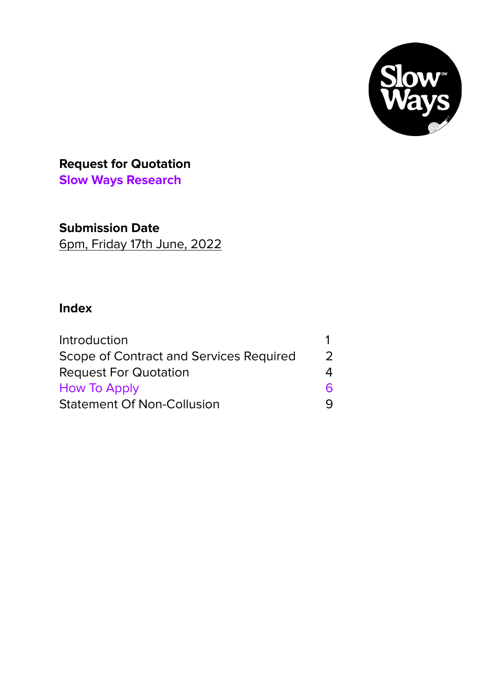

# **Request for Quotation Slow Ways Research**

# **Submission Date**

6pm, Friday 17th June, 2022

## **Index**

| Introduction                            |               |
|-----------------------------------------|---------------|
| Scope of Contract and Services Required | $\mathcal{P}$ |
| <b>Request For Quotation</b>            |               |
| How To Apply                            |               |
| <b>Statement Of Non-Collusion</b>       |               |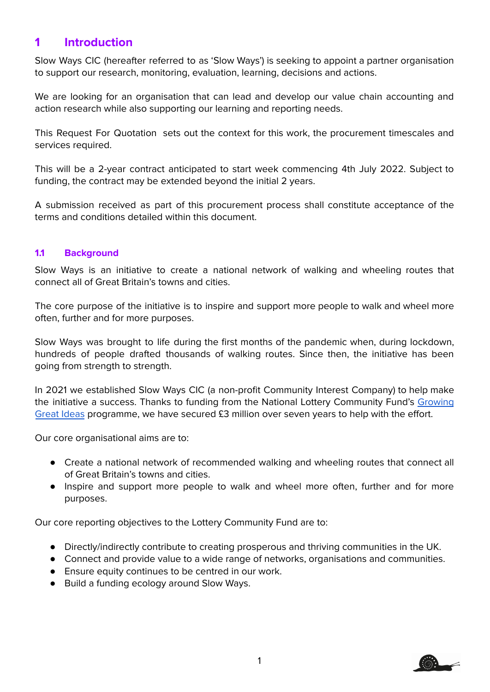## **1 Introduction**

Slow Ways CIC (hereafter referred to as 'Slow Ways') is seeking to appoint a partner organisation to support our research, monitoring, evaluation, learning, decisions and actions.

We are looking for an organisation that can lead and develop our value chain accounting and action research while also supporting our learning and reporting needs.

This Request For Quotation sets out the context for this work, the procurement timescales and services required.

This will be a 2-year contract anticipated to start week commencing 4th July 2022. Subject to funding, the contract may be extended beyond the initial 2 years.

A submission received as part of this procurement process shall constitute acceptance of the terms and conditions detailed within this document.

## **1.1 Background**

Slow Ways is an initiative to create a national network of walking and wheeling routes that connect all of Great Britain's towns and cities.

The core purpose of the initiative is to inspire and support more people to walk and wheel more often, further and for more purposes.

Slow Ways was brought to life during the first months of the pandemic when, during lockdown, hundreds of people drafted thousands of walking routes. Since then, the initiative has been going from strength to strength.

In 2021 we established Slow Ways CIC (a non-profit Community Interest Company) to help make the initiative a success. Thanks to funding from the National Lottery Community Fund's [Growing](https://www.tnlcommunityfund.org.uk/news/blog/2021-07-14/growing-great-ideas-supporting-transformational-change) [Great](https://www.tnlcommunityfund.org.uk/news/blog/2021-07-14/growing-great-ideas-supporting-transformational-change) Ideas programme, we have secured £3 million over seven years to help with the effort.

Our core organisational aims are to:

- Create a national network of recommended walking and wheeling routes that connect all of Great Britain's towns and cities.
- Inspire and support more people to walk and wheel more often, further and for more purposes.

Our core reporting objectives to the Lottery Community Fund are to:

- Directly/indirectly contribute to creating prosperous and thriving communities in the UK.
- Connect and provide value to a wide range of networks, organisations and communities.
- Ensure equity continues to be centred in our work.
- Build a funding ecology around Slow Ways.

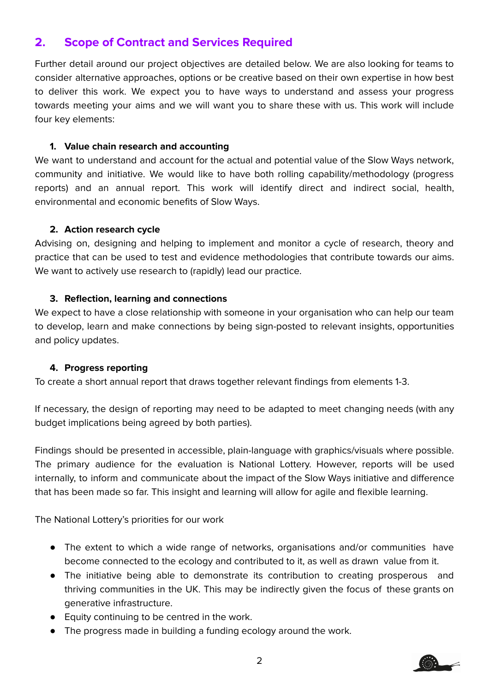## **2. Scope of Contract and Services Required**

Further detail around our project objectives are detailed below. We are also looking for teams to consider alternative approaches, options or be creative based on their own expertise in how best to deliver this work. We expect you to have ways to understand and assess your progress towards meeting your aims and we will want you to share these with us. This work will include four key elements:

## **1. Value chain research and accounting**

We want to understand and account for the actual and potential value of the Slow Ways network, community and initiative. We would like to have both rolling capability/methodology (progress reports) and an annual report. This work will identify direct and indirect social, health, environmental and economic benefits of Slow Ways.

## **2. Action research cycle**

Advising on, designing and helping to implement and monitor a cycle of research, theory and practice that can be used to test and evidence methodologies that contribute towards our aims. We want to actively use research to (rapidly) lead our practice.

## **3. Reflection, learning and connections**

We expect to have a close relationship with someone in your organisation who can help our team to develop, learn and make connections by being sign-posted to relevant insights, opportunities and policy updates.

## **4. Progress reporting**

To create a short annual report that draws together relevant findings from elements 1-3.

If necessary, the design of reporting may need to be adapted to meet changing needs (with any budget implications being agreed by both parties).

Findings should be presented in accessible, plain-language with graphics/visuals where possible. The primary audience for the evaluation is National Lottery. However, reports will be used internally, to inform and communicate about the impact of the Slow Ways initiative and difference that has been made so far. This insight and learning will allow for agile and flexible learning.

The National Lottery's priorities for our work

- The extent to which a wide range of networks, organisations and/or communities have become connected to the ecology and contributed to it, as well as drawn value from it.
- The initiative being able to demonstrate its contribution to creating prosperous and thriving communities in the UK. This may be indirectly given the focus of these grants on generative infrastructure.
- Equity continuing to be centred in the work.
- The progress made in building a funding ecology around the work.

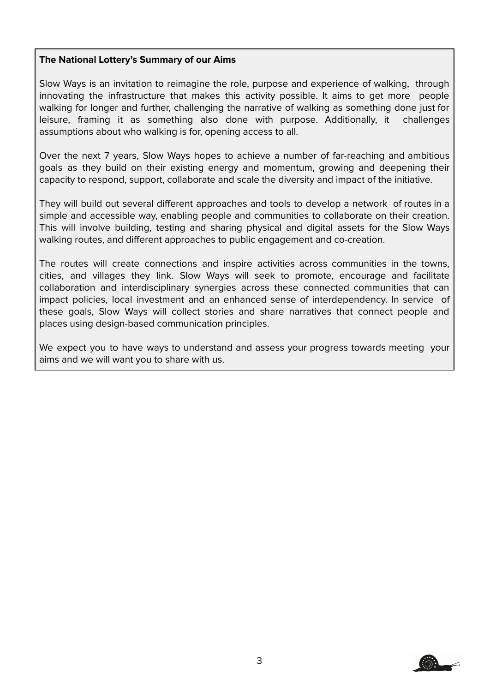## **The National Lottery's Summary of our Aims**

Slow Ways is an invitation to reimagine the role, purpose and experience of walking, through innovating the infrastructure that makes this activity possible. It aims to get more people walking for longer and further, challenging the narrative of walking as something done just for leisure, framing it as something also done with purpose. Additionally, it challenges assumptions about who walking is for, opening access to all.

Over the next 7 years, Slow Ways hopes to achieve a number of far-reaching and ambitious goals as they build on their existing energy and momentum, growing and deepening their capacity to respond, support, collaborate and scale the diversity and impact of the initiative.

They will build out several different approaches and tools to develop a network of routes in a simple and accessible way, enabling people and communities to collaborate on their creation. This will involve building, testing and sharing physical and digital assets for the Slow Ways walking routes, and different approaches to public engagement and co-creation.

The routes will create connections and inspire activities across communities in the towns, cities, and villages they link. Slow Ways will seek to promote, encourage and facilitate collaboration and interdisciplinary synergies across these connected communities that can impact policies, local investment and an enhanced sense of interdependency. In service of these goals, Slow Ways will collect stories and share narratives that connect people and places using design-based communication principles.

We expect you to have ways to understand and assess your progress towards meeting your aims and we will want you to share with us.

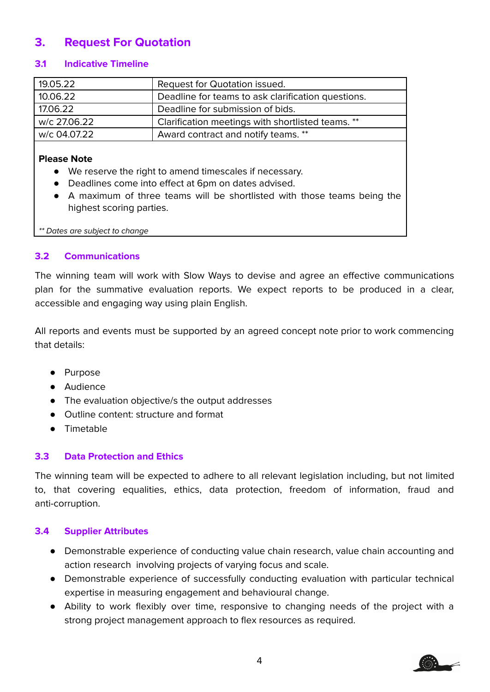## **3. Request For Quotation**

## **3.1 Indicative Timeline**

| 19.05.22                                                                     | Request for Quotation issued.                      |  |  |  |  |
|------------------------------------------------------------------------------|----------------------------------------------------|--|--|--|--|
| 10.06.22                                                                     | Deadline for teams to ask clarification questions. |  |  |  |  |
| 17.06.22                                                                     | Deadline for submission of bids.                   |  |  |  |  |
| w/c 27.06.22                                                                 | Clarification meetings with shortlisted teams. **  |  |  |  |  |
| w/c 04.07.22                                                                 | Award contract and notify teams. **                |  |  |  |  |
| <b>Please Note</b><br>We reserve the right to amend timescales if necessary. |                                                    |  |  |  |  |

- Deadlines come into effect at 6pm on dates advised.
- A maximum of three teams will be shortlisted with those teams being the highest scoring parties.

\*\* Dates are subject to change

## **3.2 Communications**

The winning team will work with Slow Ways to devise and agree an effective communications plan for the summative evaluation reports. We expect reports to be produced in a clear, accessible and engaging way using plain English.

All reports and events must be supported by an agreed concept note prior to work commencing that details:

- Purpose
- Audience
- The evaluation objective/s the output addresses
- Outline content: structure and format
- Timetable

## **3.3 Data Protection and Ethics**

The winning team will be expected to adhere to all relevant legislation including, but not limited to, that covering equalities, ethics, data protection, freedom of information, fraud and anti-corruption.

## **3.4 Supplier Attributes**

- Demonstrable experience of conducting value chain research, value chain accounting and action research involving projects of varying focus and scale.
- Demonstrable experience of successfully conducting evaluation with particular technical expertise in measuring engagement and behavioural change.
- Ability to work flexibly over time, responsive to changing needs of the project with a strong project management approach to flex resources as required.

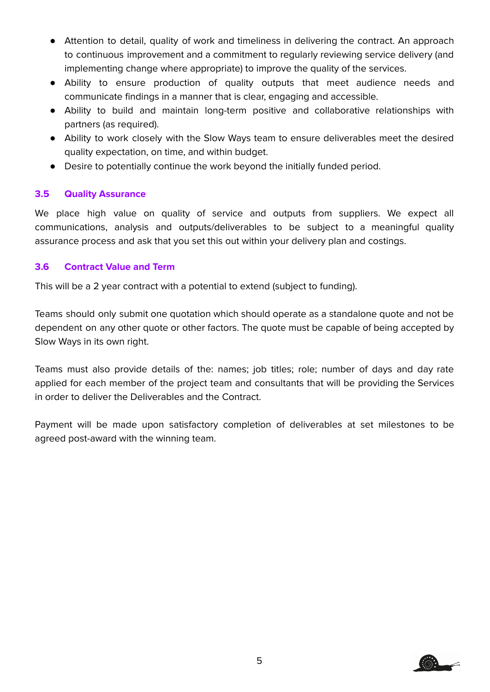- Attention to detail, quality of work and timeliness in delivering the contract. An approach to continuous improvement and a commitment to regularly reviewing service delivery (and implementing change where appropriate) to improve the quality of the services.
- Ability to ensure production of quality outputs that meet audience needs and communicate findings in a manner that is clear, engaging and accessible.
- Ability to build and maintain long-term positive and collaborative relationships with partners (as required).
- Ability to work closely with the Slow Ways team to ensure deliverables meet the desired quality expectation, on time, and within budget.
- Desire to potentially continue the work beyond the initially funded period.

## **3.5 Quality Assurance**

We place high value on quality of service and outputs from suppliers. We expect all communications, analysis and outputs/deliverables to be subject to a meaningful quality assurance process and ask that you set this out within your delivery plan and costings.

## **3.6 Contract Value and Term**

This will be a 2 year contract with a potential to extend (subject to funding).

Teams should only submit one quotation which should operate as a standalone quote and not be dependent on any other quote or other factors. The quote must be capable of being accepted by Slow Ways in its own right.

Teams must also provide details of the: names; job titles; role; number of days and day rate applied for each member of the project team and consultants that will be providing the Services in order to deliver the Deliverables and the Contract.

Payment will be made upon satisfactory completion of deliverables at set milestones to be agreed post-award with the winning team.

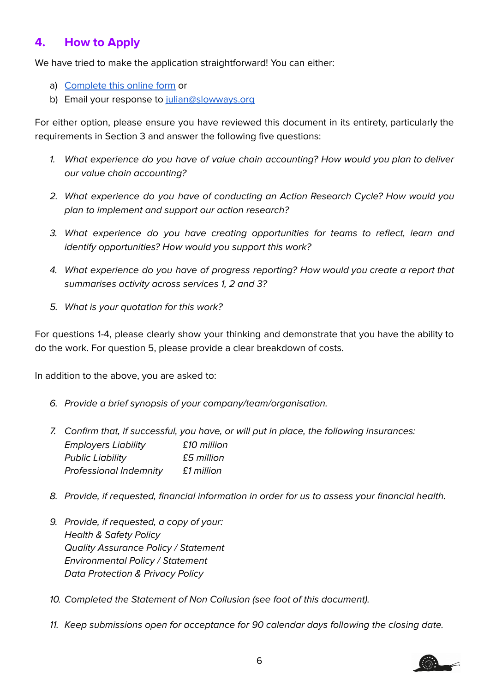## **4. How to Apply**

We have tried to make the application straightforward! You can either:

- a) [Complete](https://forms.gle/q7PpLJvECMD5bqMZ8) this online form or
- b) Email your response to [julian@slowways.org](mailto:julian@slowways.org)

For either option, please ensure you have reviewed this document in its entirety, particularly the requirements in Section 3 and answer the following five questions:

- 1. What experience do you have of value chain accounting? How would you plan to deliver our value chain accounting?
- 2. What experience do you have of conducting an Action Research Cycle? How would you plan to implement and support our action research?
- 3. What experience do you have creating opportunities for teams to reflect, learn and identify opportunities? How would you support this work?
- 4. What experience do you have of progress reporting? How would you create a report that summarises activity across services 1, 2 and 3?
- 5. What is your quotation for this work?

For questions 1-4, please clearly show your thinking and demonstrate that you have the ability to do the work. For question 5, please provide a clear breakdown of costs.

In addition to the above, you are asked to:

- 6. Provide a brief synopsis of your company/team/organisation.
- 7. Confirm that, if successful, you have, or will put in place, the following insurances: Employers Liability £10 million Public Liability £5 million Professional Indemnity £1 million
- 8. Provide, if requested, financial information in order for us to assess your financial health.
- 9. Provide, if requested, a copy of your: Health & Safety Policy Quality Assurance Policy / Statement Environmental Policy / Statement Data Protection & Privacy Policy
- 10. Completed the Statement of Non Collusion (see foot of this document).
- 11. Keep submissions open for acceptance for 90 calendar days following the closing date.

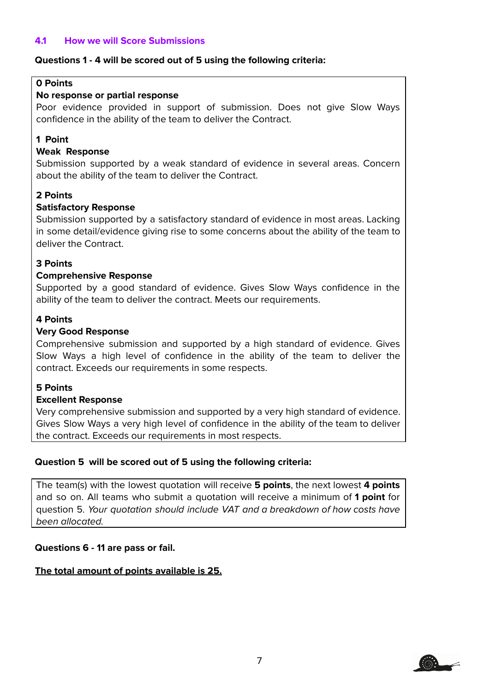## **4.1 How we will Score Submissions**

#### **Questions 1 - 4 will be scored out of 5 using the following criteria:**

## **0 Points**

#### **No response or partial response**

Poor evidence provided in support of submission. Does not give Slow Ways confidence in the ability of the team to deliver the Contract.

## **1 Point**

#### **Weak Response**

Submission supported by a weak standard of evidence in several areas. Concern about the ability of the team to deliver the Contract.

## **2 Points**

#### **Satisfactory Response**

Submission supported by a satisfactory standard of evidence in most areas. Lacking in some detail/evidence giving rise to some concerns about the ability of the team to deliver the Contract.

## **3 Points**

## **Comprehensive Response**

Supported by a good standard of evidence. Gives Slow Ways confidence in the ability of the team to deliver the contract. Meets our requirements.

## **4 Points**

#### **Very Good Response**

Comprehensive submission and supported by a high standard of evidence. Gives Slow Ways a high level of confidence in the ability of the team to deliver the contract. Exceeds our requirements in some respects.

## **5 Points**

## **Excellent Response**

Very comprehensive submission and supported by a very high standard of evidence. Gives Slow Ways a very high level of confidence in the ability of the team to deliver the contract. Exceeds our requirements in most respects.

## **Question 5 will be scored out of 5 using the following criteria:**

The team(s) with the lowest quotation will receive **5 points**, the next lowest **4 points** and so on. All teams who submit a quotation will receive a minimum of **1 point** for question 5. Your quotation should include VAT and a breakdown of how costs have been allocated.

## **Questions 6 - 11 are pass or fail.**

## **The total amount of points available is 25.**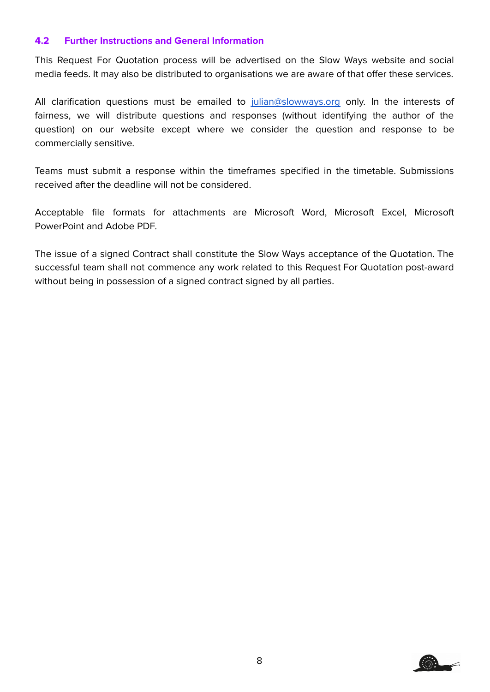## **4.2 Further Instructions and General Information**

This Request For Quotation process will be advertised on the Slow Ways website and social media feeds. It may also be distributed to organisations we are aware of that offer these services.

All clarification questions must be emailed to [julian@slowways.org](mailto:julian@slowways.org) only. In the interests of fairness, we will distribute questions and responses (without identifying the author of the question) on our website except where we consider the question and response to be commercially sensitive.

Teams must submit a response within the timeframes specified in the timetable. Submissions received after the deadline will not be considered.

Acceptable file formats for attachments are Microsoft Word, Microsoft Excel, Microsoft PowerPoint and Adobe PDF.

The issue of a signed Contract shall constitute the Slow Ways acceptance of the Quotation. The successful team shall not commence any work related to this Request For Quotation post-award without being in possession of a signed contract signed by all parties.